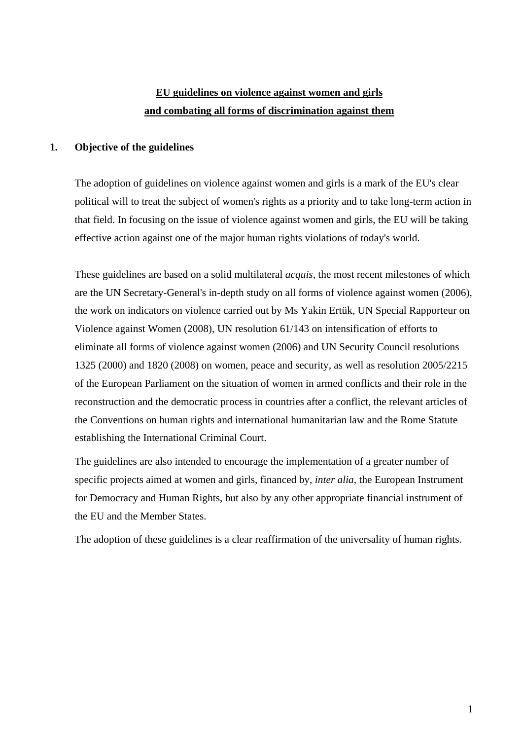# **EU guidelines on violence against women and girls and combating all forms of discrimination against them**

# **1. Objective of the guidelines**

 The adoption of guidelines on violence against women and girls is a mark of the EU's clear political will to treat the subject of women's rights as a priority and to take long-term action in that field. In focusing on the issue of violence against women and girls, the EU will be taking effective action against one of the major human rights violations of today's world.

 These guidelines are based on a solid multilateral *acquis*, the most recent milestones of which are the UN Secretary-General's in-depth study on all forms of violence against women (2006), the work on indicators on violence carried out by Ms Yakin Ertük, UN Special Rapporteur on Violence against Women (2008), UN resolution 61/143 on intensification of efforts to eliminate all forms of violence against women (2006) and UN Security Council resolutions 1325 (2000) and 1820 (2008) on women, peace and security, as well as resolution 2005/2215 of the European Parliament on the situation of women in armed conflicts and their role in the reconstruction and the democratic process in countries after a conflict, the relevant articles of the Conventions on human rights and international humanitarian law and the Rome Statute establishing the International Criminal Court.

 The guidelines are also intended to encourage the implementation of a greater number of specific projects aimed at women and girls, financed by, *inter alia*, the European Instrument for Democracy and Human Rights, but also by any other appropriate financial instrument of the EU and the Member States.

The adoption of these guidelines is a clear reaffirmation of the universality of human rights.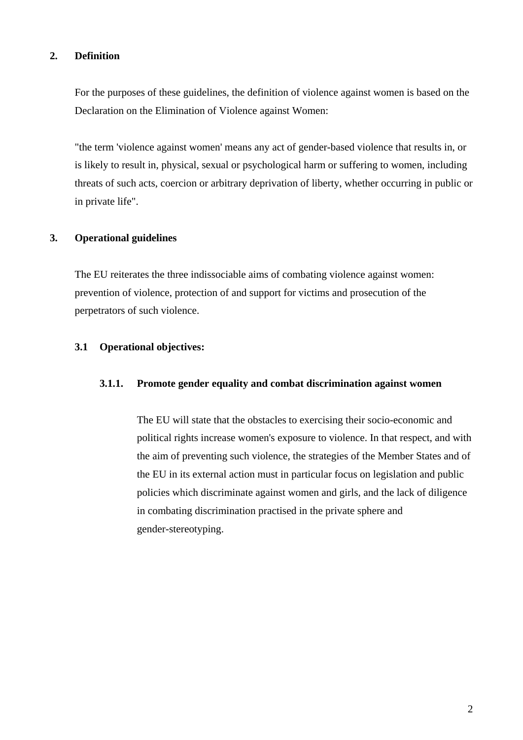# **2. Definition**

 For the purposes of these guidelines, the definition of violence against women is based on the Declaration on the Elimination of Violence against Women:

 "the term 'violence against women' means any act of gender-based violence that results in, or is likely to result in, physical, sexual or psychological harm or suffering to women, including threats of such acts, coercion or arbitrary deprivation of liberty, whether occurring in public or in private life".

# **3. Operational guidelines**

 The EU reiterates the three indissociable aims of combating violence against women: prevention of violence, protection of and support for victims and prosecution of the perpetrators of such violence.

## **3.1 Operational objectives:**

## **3.1.1. Promote gender equality and combat discrimination against women**

The EU will state that the obstacles to exercising their socio-economic and political rights increase women's exposure to violence. In that respect, and with the aim of preventing such violence, the strategies of the Member States and of the EU in its external action must in particular focus on legislation and public policies which discriminate against women and girls, and the lack of diligence in combating discrimination practised in the private sphere and gender-stereotyping.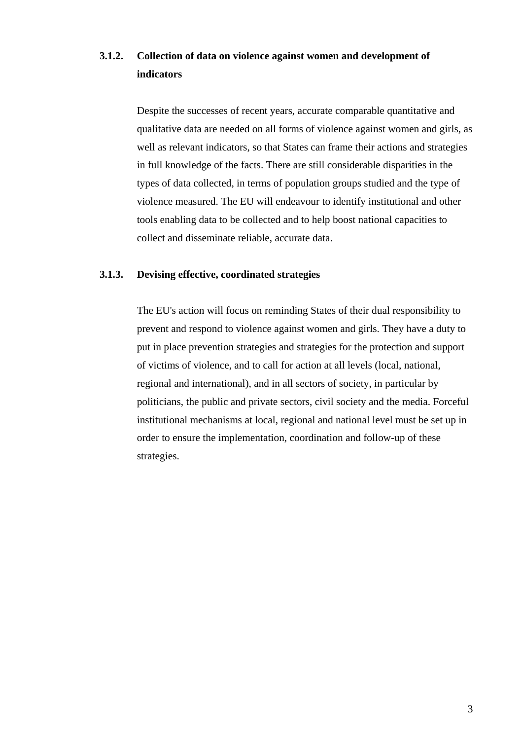# **3.1.2. Collection of data on violence against women and development of indicators**

 Despite the successes of recent years, accurate comparable quantitative and qualitative data are needed on all forms of violence against women and girls, as well as relevant indicators, so that States can frame their actions and strategies in full knowledge of the facts. There are still considerable disparities in the types of data collected, in terms of population groups studied and the type of violence measured. The EU will endeavour to identify institutional and other tools enabling data to be collected and to help boost national capacities to collect and disseminate reliable, accurate data.

# **3.1.3. Devising effective, coordinated strategies**

 The EU's action will focus on reminding States of their dual responsibility to prevent and respond to violence against women and girls. They have a duty to put in place prevention strategies and strategies for the protection and support of victims of violence, and to call for action at all levels (local, national, regional and international), and in all sectors of society, in particular by politicians, the public and private sectors, civil society and the media. Forceful institutional mechanisms at local, regional and national level must be set up in order to ensure the implementation, coordination and follow-up of these strategies.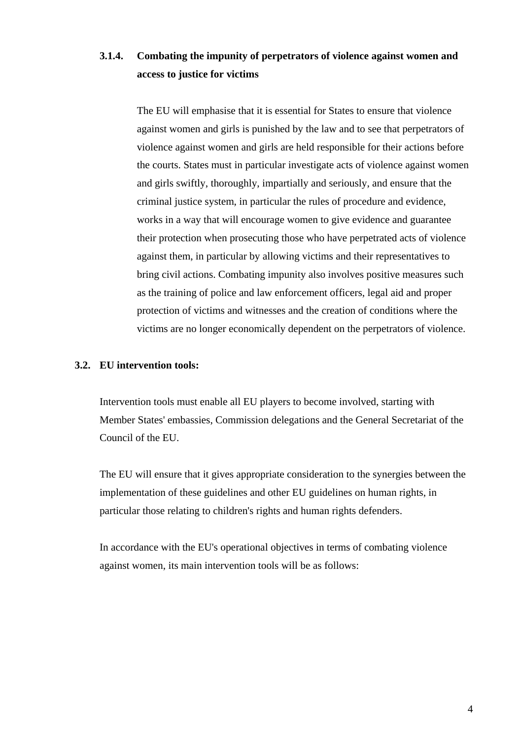# **3.1.4. Combating the impunity of perpetrators of violence against women and access to justice for victims**

 The EU will emphasise that it is essential for States to ensure that violence against women and girls is punished by the law and to see that perpetrators of violence against women and girls are held responsible for their actions before the courts. States must in particular investigate acts of violence against women and girls swiftly, thoroughly, impartially and seriously, and ensure that the criminal justice system, in particular the rules of procedure and evidence, works in a way that will encourage women to give evidence and guarantee their protection when prosecuting those who have perpetrated acts of violence against them, in particular by allowing victims and their representatives to bring civil actions. Combating impunity also involves positive measures such as the training of police and law enforcement officers, legal aid and proper protection of victims and witnesses and the creation of conditions where the victims are no longer economically dependent on the perpetrators of violence.

## **3.2. EU intervention tools:**

 Intervention tools must enable all EU players to become involved, starting with Member States' embassies, Commission delegations and the General Secretariat of the Council of the EU.

The EU will ensure that it gives appropriate consideration to the synergies between the implementation of these guidelines and other EU guidelines on human rights, in particular those relating to children's rights and human rights defenders.

 In accordance with the EU's operational objectives in terms of combating violence against women, its main intervention tools will be as follows: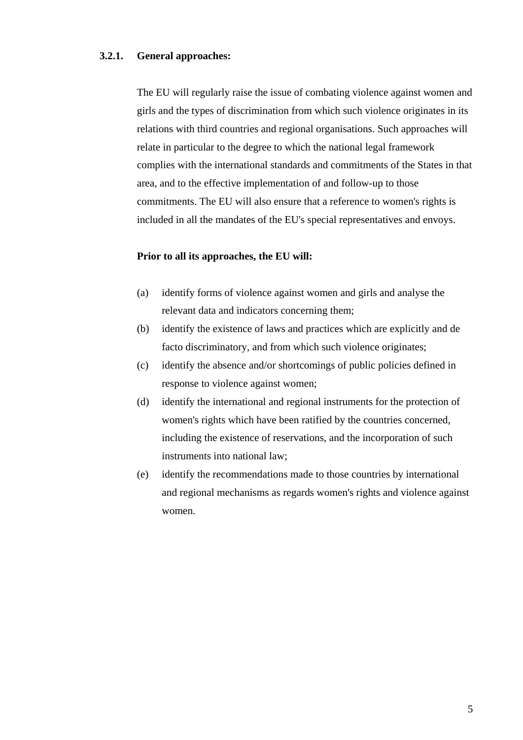## **3.2.1. General approaches:**

 The EU will regularly raise the issue of combating violence against women and girls and the types of discrimination from which such violence originates in its relations with third countries and regional organisations. Such approaches will relate in particular to the degree to which the national legal framework complies with the international standards and commitments of the States in that area, and to the effective implementation of and follow-up to those commitments. The EU will also ensure that a reference to women's rights is included in all the mandates of the EU's special representatives and envoys.

#### **Prior to all its approaches, the EU will:**

- (a) identify forms of violence against women and girls and analyse the relevant data and indicators concerning them;
- (b) identify the existence of laws and practices which are explicitly and de facto discriminatory, and from which such violence originates;
- (c) identify the absence and/or shortcomings of public policies defined in response to violence against women;
- (d) identify the international and regional instruments for the protection of women's rights which have been ratified by the countries concerned, including the existence of reservations, and the incorporation of such instruments into national law;
- (e) identify the recommendations made to those countries by international and regional mechanisms as regards women's rights and violence against women.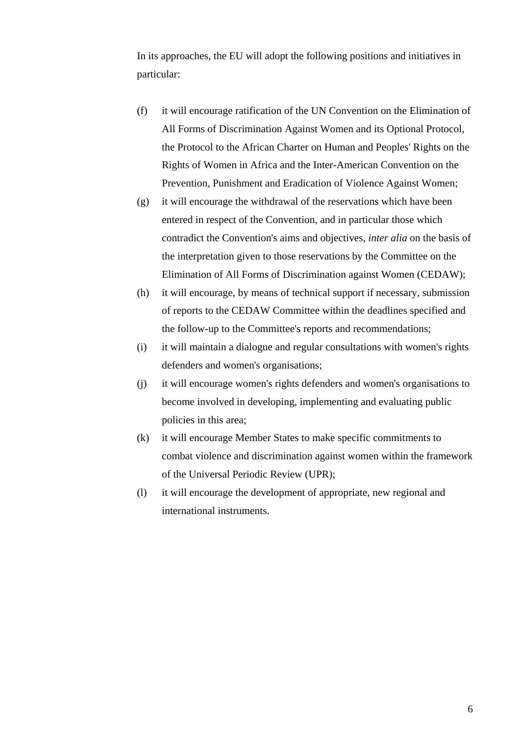In its approaches, the EU will adopt the following positions and initiatives in particular:

- (f) it will encourage ratification of the UN Convention on the Elimination of All Forms of Discrimination Against Women and its Optional Protocol, the Protocol to the African Charter on Human and Peoples' Rights on the Rights of Women in Africa and the Inter-American Convention on the Prevention, Punishment and Eradication of Violence Against Women;
- (g) it will encourage the withdrawal of the reservations which have been entered in respect of the Convention, and in particular those which contradict the Convention's aims and objectives, *inter alia* on the basis of the interpretation given to those reservations by the Committee on the Elimination of All Forms of Discrimination against Women (CEDAW);
- (h) it will encourage, by means of technical support if necessary, submission of reports to the CEDAW Committee within the deadlines specified and the follow-up to the Committee's reports and recommendations;
- (i) it will maintain a dialogue and regular consultations with women's rights defenders and women's organisations;
- (j) it will encourage women's rights defenders and women's organisations to become involved in developing, implementing and evaluating public policies in this area;
- (k) it will encourage Member States to make specific commitments to combat violence and discrimination against women within the framework of the Universal Periodic Review (UPR);
- (l) it will encourage the development of appropriate, new regional and international instruments.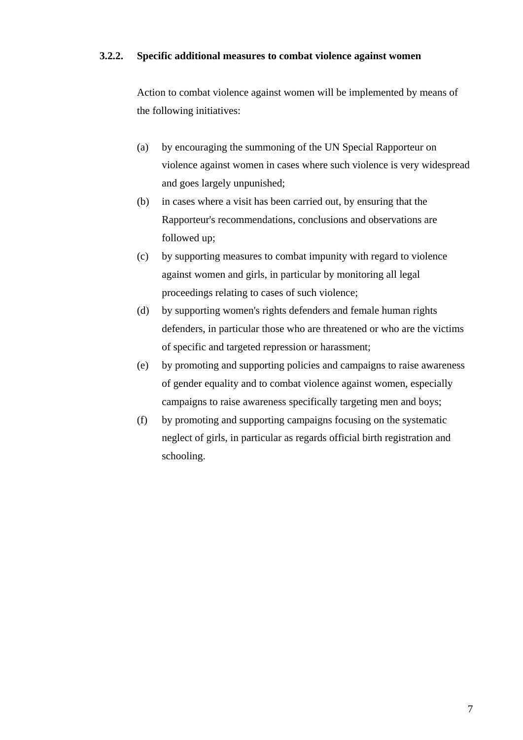### **3.2.2. Specific additional measures to combat violence against women**

 Action to combat violence against women will be implemented by means of the following initiatives:

- (a) by encouraging the summoning of the UN Special Rapporteur on violence against women in cases where such violence is very widespread and goes largely unpunished;
- (b) in cases where a visit has been carried out, by ensuring that the Rapporteur's recommendations, conclusions and observations are followed up;
- (c) by supporting measures to combat impunity with regard to violence against women and girls, in particular by monitoring all legal proceedings relating to cases of such violence;
- (d) by supporting women's rights defenders and female human rights defenders, in particular those who are threatened or who are the victims of specific and targeted repression or harassment;
- (e) by promoting and supporting policies and campaigns to raise awareness of gender equality and to combat violence against women, especially campaigns to raise awareness specifically targeting men and boys;
- (f) by promoting and supporting campaigns focusing on the systematic neglect of girls, in particular as regards official birth registration and schooling.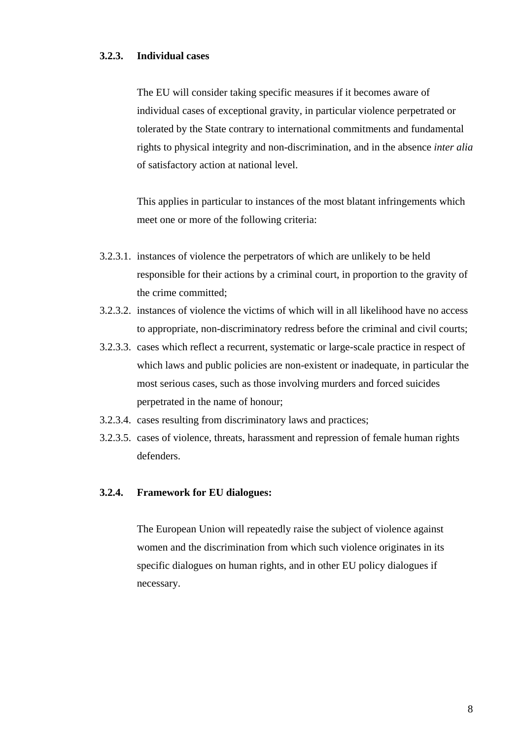#### **3.2.3. Individual cases**

 The EU will consider taking specific measures if it becomes aware of individual cases of exceptional gravity, in particular violence perpetrated or tolerated by the State contrary to international commitments and fundamental rights to physical integrity and non-discrimination, and in the absence *inter alia* of satisfactory action at national level.

 This applies in particular to instances of the most blatant infringements which meet one or more of the following criteria:

- 3.2.3.1. instances of violence the perpetrators of which are unlikely to be held responsible for their actions by a criminal court, in proportion to the gravity of the crime committed;
- 3.2.3.2. instances of violence the victims of which will in all likelihood have no access to appropriate, non-discriminatory redress before the criminal and civil courts;
- 3.2.3.3. cases which reflect a recurrent, systematic or large-scale practice in respect of which laws and public policies are non-existent or inadequate, in particular the most serious cases, such as those involving murders and forced suicides perpetrated in the name of honour;
- 3.2.3.4. cases resulting from discriminatory laws and practices;
- 3.2.3.5. cases of violence, threats, harassment and repression of female human rights defenders.

#### **3.2.4. Framework for EU dialogues:**

 The European Union will repeatedly raise the subject of violence against women and the discrimination from which such violence originates in its specific dialogues on human rights, and in other EU policy dialogues if necessary.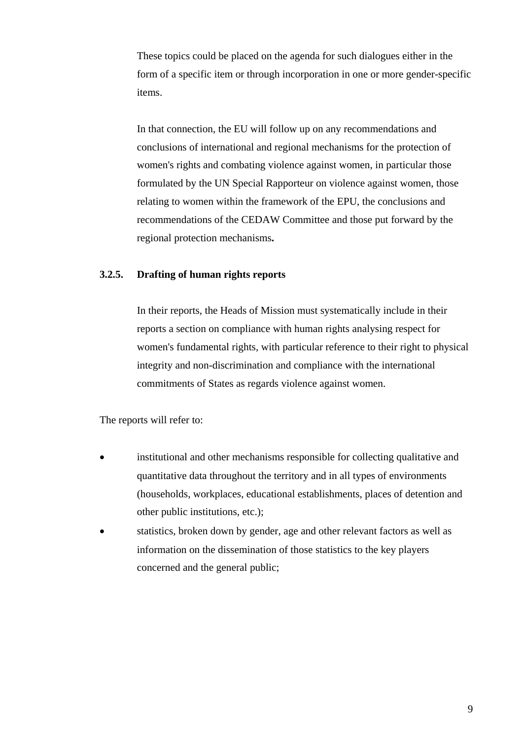These topics could be placed on the agenda for such dialogues either in the form of a specific item or through incorporation in one or more gender-specific items.

 In that connection, the EU will follow up on any recommendations and conclusions of international and regional mechanisms for the protection of women's rights and combating violence against women, in particular those formulated by the UN Special Rapporteur on violence against women, those relating to women within the framework of the EPU, the conclusions and recommendations of the CEDAW Committee and those put forward by the regional protection mechanisms**.** 

# **3.2.5. Drafting of human rights reports**

 In their reports, the Heads of Mission must systematically include in their reports a section on compliance with human rights analysing respect for women's fundamental rights, with particular reference to their right to physical integrity and non-discrimination and compliance with the international commitments of States as regards violence against women.

The reports will refer to:

- institutional and other mechanisms responsible for collecting qualitative and quantitative data throughout the territory and in all types of environments (households, workplaces, educational establishments, places of detention and other public institutions, etc.);
- statistics, broken down by gender, age and other relevant factors as well as information on the dissemination of those statistics to the key players concerned and the general public;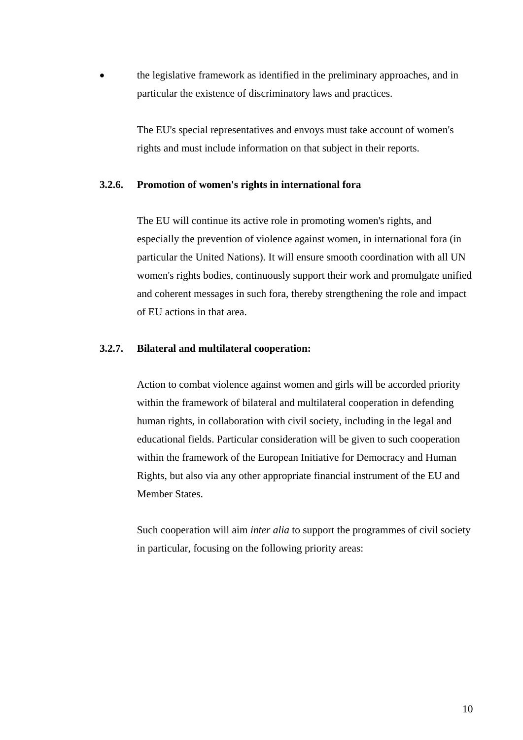• the legislative framework as identified in the preliminary approaches, and in particular the existence of discriminatory laws and practices.

> The EU's special representatives and envoys must take account of women's rights and must include information on that subject in their reports.

#### **3.2.6. Promotion of women's rights in international fora**

The EU will continue its active role in promoting women's rights, and especially the prevention of violence against women, in international fora (in particular the United Nations). It will ensure smooth coordination with all UN women's rights bodies, continuously support their work and promulgate unified and coherent messages in such fora, thereby strengthening the role and impact of EU actions in that area.

#### **3.2.7. Bilateral and multilateral cooperation:**

 Action to combat violence against women and girls will be accorded priority within the framework of bilateral and multilateral cooperation in defending human rights, in collaboration with civil society, including in the legal and educational fields. Particular consideration will be given to such cooperation within the framework of the European Initiative for Democracy and Human Rights, but also via any other appropriate financial instrument of the EU and Member States.

 Such cooperation will aim *inter alia* to support the programmes of civil society in particular, focusing on the following priority areas: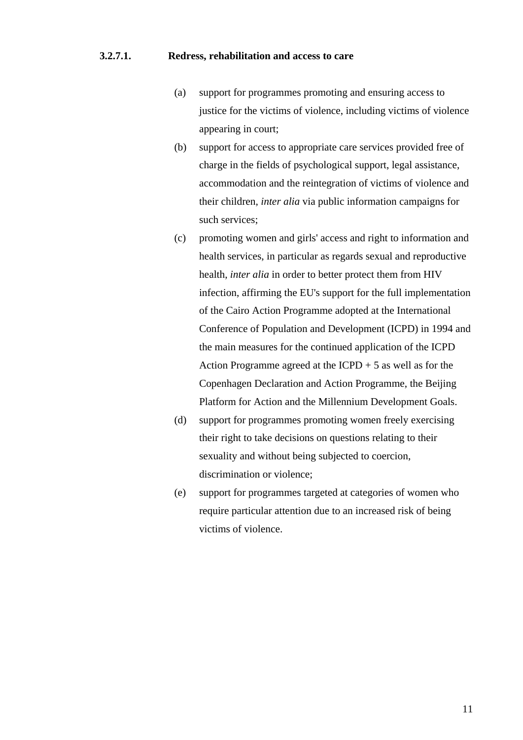### **3.2.7.1. Redress, rehabilitation and access to care**

- (a) support for programmes promoting and ensuring access to justice for the victims of violence, including victims of violence appearing in court;
- (b) support for access to appropriate care services provided free of charge in the fields of psychological support, legal assistance, accommodation and the reintegration of victims of violence and their children, *inter alia* via public information campaigns for such services;
- (c) promoting women and girls' access and right to information and health services, in particular as regards sexual and reproductive health, *inter alia* in order to better protect them from HIV infection, affirming the EU's support for the full implementation of the Cairo Action Programme adopted at the International Conference of Population and Development (ICPD) in 1994 and the main measures for the continued application of the ICPD Action Programme agreed at the ICPD  $+ 5$  as well as for the Copenhagen Declaration and Action Programme, the Beijing Platform for Action and the Millennium Development Goals.
- (d) support for programmes promoting women freely exercising their right to take decisions on questions relating to their sexuality and without being subjected to coercion, discrimination or violence;
- (e) support for programmes targeted at categories of women who require particular attention due to an increased risk of being victims of violence.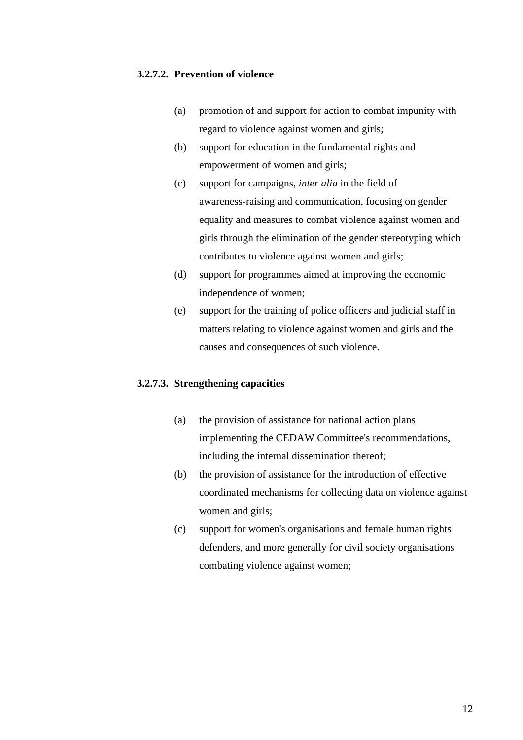# **3.2.7.2. Prevention of violence**

- (a) promotion of and support for action to combat impunity with regard to violence against women and girls;
- (b) support for education in the fundamental rights and empowerment of women and girls;
- (c) support for campaigns, *inter alia* in the field of awareness-raising and communication, focusing on gender equality and measures to combat violence against women and girls through the elimination of the gender stereotyping which contributes to violence against women and girls;
- (d) support for programmes aimed at improving the economic independence of women;
- (e) support for the training of police officers and judicial staff in matters relating to violence against women and girls and the causes and consequences of such violence.

## **3.2.7.3. Strengthening capacities**

- (a) the provision of assistance for national action plans implementing the CEDAW Committee's recommendations, including the internal dissemination thereof;
- (b) the provision of assistance for the introduction of effective coordinated mechanisms for collecting data on violence against women and girls;
- (c) support for women's organisations and female human rights defenders, and more generally for civil society organisations combating violence against women;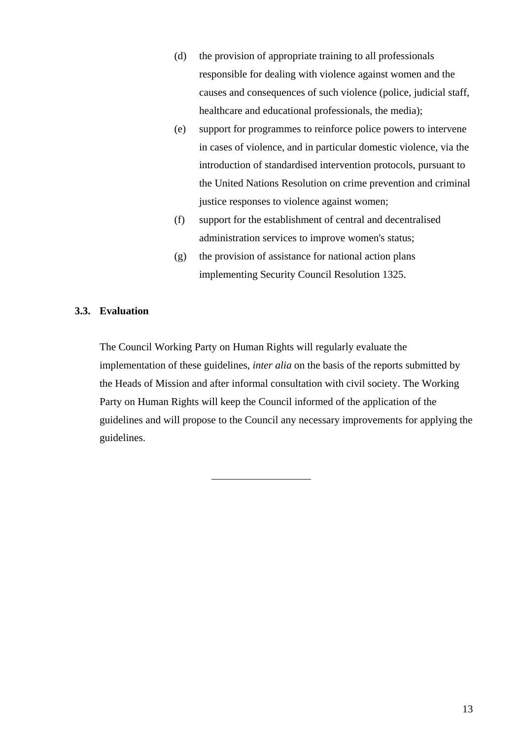- (d) the provision of appropriate training to all professionals responsible for dealing with violence against women and the causes and consequences of such violence (police, judicial staff, healthcare and educational professionals, the media);
- (e) support for programmes to reinforce police powers to intervene in cases of violence, and in particular domestic violence, via the introduction of standardised intervention protocols, pursuant to the United Nations Resolution on crime prevention and criminal justice responses to violence against women;
- (f) support for the establishment of central and decentralised administration services to improve women's status;
- (g) the provision of assistance for national action plans implementing Security Council Resolution 1325.

## **3.3. Evaluation**

 The Council Working Party on Human Rights will regularly evaluate the implementation of these guidelines, *inter alia* on the basis of the reports submitted by the Heads of Mission and after informal consultation with civil society. The Working Party on Human Rights will keep the Council informed of the application of the guidelines and will propose to the Council any necessary improvements for applying the guidelines.

 $\overline{a}$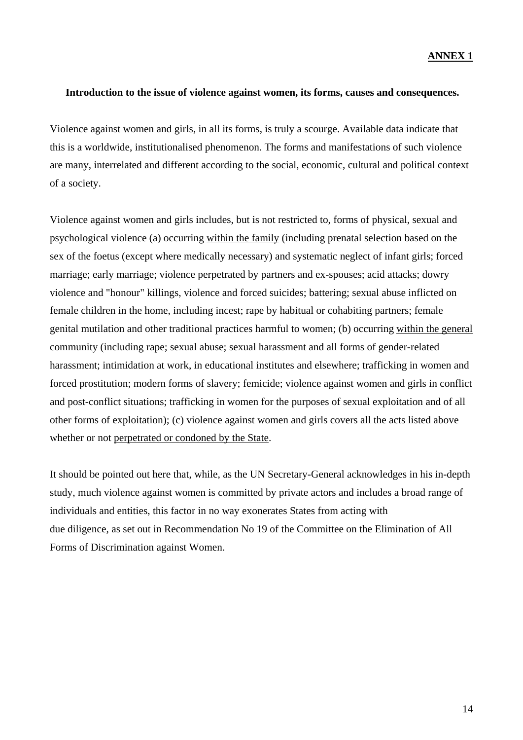#### **Introduction to the issue of violence against women, its forms, causes and consequences.**

Violence against women and girls, in all its forms, is truly a scourge. Available data indicate that this is a worldwide, institutionalised phenomenon. The forms and manifestations of such violence are many, interrelated and different according to the social, economic, cultural and political context of a society.

Violence against women and girls includes, but is not restricted to, forms of physical, sexual and psychological violence (a) occurring within the family (including prenatal selection based on the sex of the foetus (except where medically necessary) and systematic neglect of infant girls; forced marriage; early marriage; violence perpetrated by partners and ex-spouses; acid attacks; dowry violence and "honour" killings, violence and forced suicides; battering; sexual abuse inflicted on female children in the home, including incest; rape by habitual or cohabiting partners; female genital mutilation and other traditional practices harmful to women; (b) occurring within the general community (including rape; sexual abuse; sexual harassment and all forms of gender-related harassment; intimidation at work, in educational institutes and elsewhere; trafficking in women and forced prostitution; modern forms of slavery; femicide; violence against women and girls in conflict and post-conflict situations; trafficking in women for the purposes of sexual exploitation and of all other forms of exploitation); (c) violence against women and girls covers all the acts listed above whether or not perpetrated or condoned by the State.

It should be pointed out here that, while, as the UN Secretary-General acknowledges in his in-depth study, much violence against women is committed by private actors and includes a broad range of individuals and entities, this factor in no way exonerates States from acting with due diligence, as set out in Recommendation No 19 of the Committee on the Elimination of All Forms of Discrimination against Women.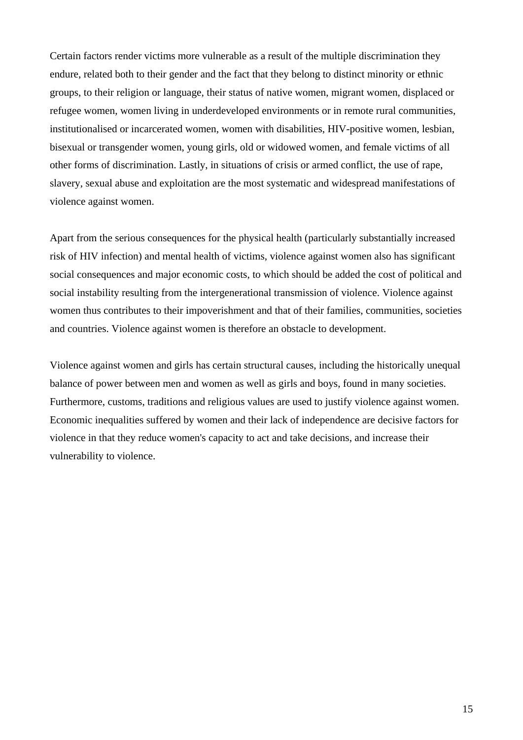Certain factors render victims more vulnerable as a result of the multiple discrimination they endure, related both to their gender and the fact that they belong to distinct minority or ethnic groups, to their religion or language, their status of native women, migrant women, displaced or refugee women, women living in underdeveloped environments or in remote rural communities, institutionalised or incarcerated women, women with disabilities, HIV-positive women, lesbian, bisexual or transgender women, young girls, old or widowed women, and female victims of all other forms of discrimination. Lastly, in situations of crisis or armed conflict, the use of rape, slavery, sexual abuse and exploitation are the most systematic and widespread manifestations of violence against women.

Apart from the serious consequences for the physical health (particularly substantially increased risk of HIV infection) and mental health of victims, violence against women also has significant social consequences and major economic costs, to which should be added the cost of political and social instability resulting from the intergenerational transmission of violence. Violence against women thus contributes to their impoverishment and that of their families, communities, societies and countries. Violence against women is therefore an obstacle to development.

Violence against women and girls has certain structural causes, including the historically unequal balance of power between men and women as well as girls and boys, found in many societies. Furthermore, customs, traditions and religious values are used to justify violence against women. Economic inequalities suffered by women and their lack of independence are decisive factors for violence in that they reduce women's capacity to act and take decisions, and increase their vulnerability to violence.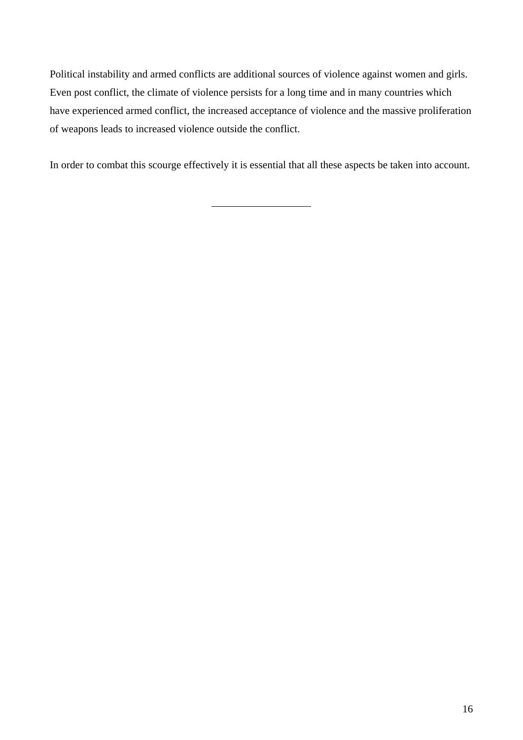Political instability and armed conflicts are additional sources of violence against women and girls. Even post conflict, the climate of violence persists for a long time and in many countries which have experienced armed conflict, the increased acceptance of violence and the massive proliferation of weapons leads to increased violence outside the conflict.

In order to combat this scourge effectively it is essential that all these aspects be taken into account.

 $\overline{a}$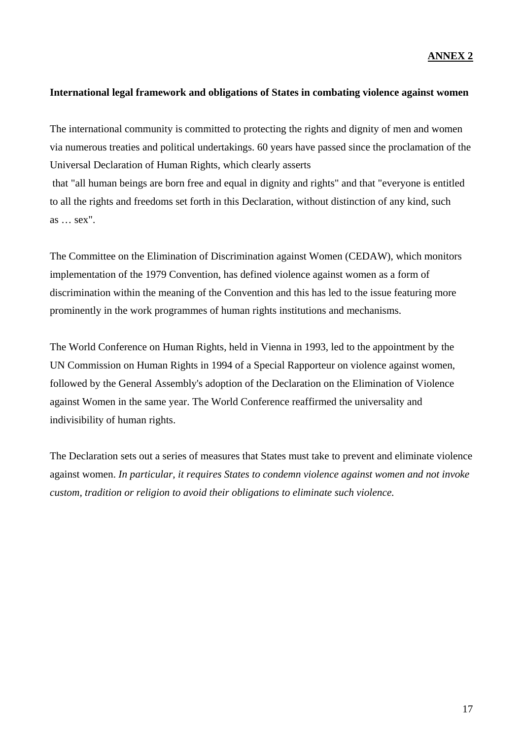#### **ANNEX 2**

## **International legal framework and obligations of States in combating violence against women**

The international community is committed to protecting the rights and dignity of men and women via numerous treaties and political undertakings. 60 years have passed since the proclamation of the Universal Declaration of Human Rights, which clearly asserts

 that "all human beings are born free and equal in dignity and rights" and that "everyone is entitled to all the rights and freedoms set forth in this Declaration, without distinction of any kind, such as … sex".

The Committee on the Elimination of Discrimination against Women (CEDAW), which monitors implementation of the 1979 Convention, has defined violence against women as a form of discrimination within the meaning of the Convention and this has led to the issue featuring more prominently in the work programmes of human rights institutions and mechanisms.

The World Conference on Human Rights, held in Vienna in 1993, led to the appointment by the UN Commission on Human Rights in 1994 of a Special Rapporteur on violence against women, followed by the General Assembly's adoption of the Declaration on the Elimination of Violence against Women in the same year. The World Conference reaffirmed the universality and indivisibility of human rights.

The Declaration sets out a series of measures that States must take to prevent and eliminate violence against women. *In particular, it requires States to condemn violence against women and not invoke custom, tradition or religion to avoid their obligations to eliminate such violence.*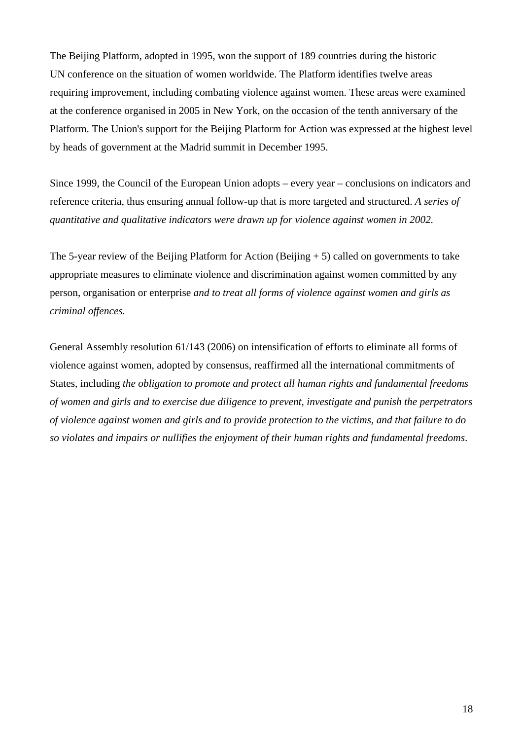The Beijing Platform, adopted in 1995, won the support of 189 countries during the historic UN conference on the situation of women worldwide. The Platform identifies twelve areas requiring improvement, including combating violence against women. These areas were examined at the conference organised in 2005 in New York, on the occasion of the tenth anniversary of the Platform. The Union's support for the Beijing Platform for Action was expressed at the highest level by heads of government at the Madrid summit in December 1995.

Since 1999, the Council of the European Union adopts – every year – conclusions on indicators and reference criteria, thus ensuring annual follow-up that is more targeted and structured. *A series of quantitative and qualitative indicators were drawn up for violence against women in 2002.*

The 5-year review of the Beijing Platform for Action (Beijing  $+5$ ) called on governments to take appropriate measures to eliminate violence and discrimination against women committed by any person, organisation or enterprise *and to treat all forms of violence against women and girls as criminal offences.*

General Assembly resolution 61/143 (2006) on intensification of efforts to eliminate all forms of violence against women, adopted by consensus, reaffirmed all the international commitments of States, including *the obligation to promote and protect all human rights and fundamental freedoms of women and girls and to exercise due diligence to prevent, investigate and punish the perpetrators of violence against women and girls and to provide protection to the victims, and that failure to do so violates and impairs or nullifies the enjoyment of their human rights and fundamental freedoms*.